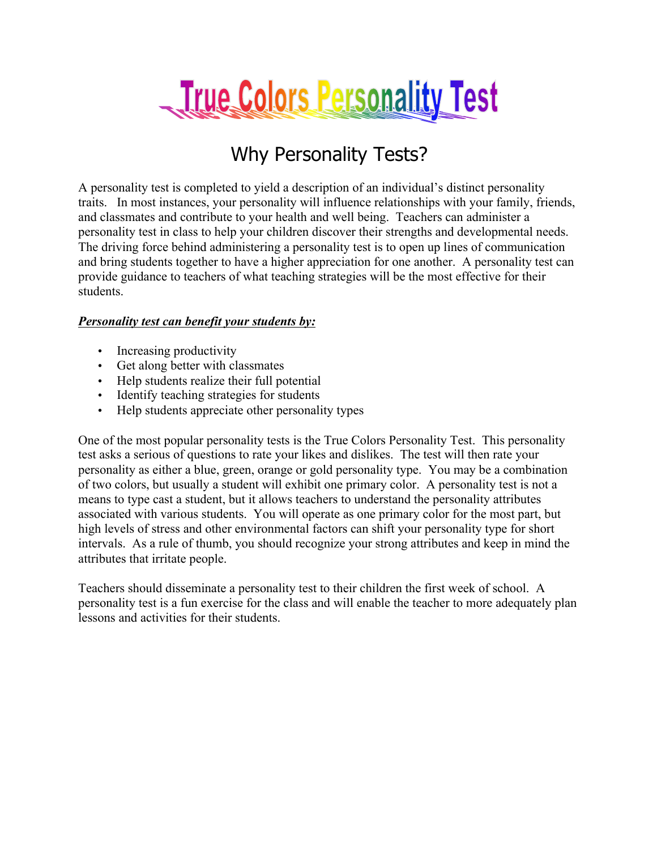

#### Why Personality Tests?

A personality test is completed to yield a description of an individual's distinct personality traits. In most instances, your personality will influence relationships with your family, friends, and classmates and contribute to your health and well being. Teachers can administer a personality test in class to help your children discover their strengths and developmental needs. The driving force behind administering a personality test is to open up lines of communication and bring students together to have a higher appreciation for one another. A personality test can provide guidance to teachers of what teaching strategies will be the most effective for their students.

#### *Personality test can benefit your students by:*

- Increasing productivity
- Get along better with classmates
- Help students realize their full potential
- Identify teaching strategies for students
- Help students appreciate other personality types

One of the most popular personality tests is the True Colors Personality Test. This personality test asks a serious of questions to rate your likes and dislikes. The test will then rate your personality as either a blue, green, orange or gold personality type. You may be a combination of two colors, but usually a student will exhibit one primary color. A personality test is not a means to type cast a student, but it allows teachers to understand the personality attributes associated with various students. You will operate as one primary color for the most part, but high levels of stress and other environmental factors can shift your personality type for short intervals. As a rule of thumb, you should recognize your strong attributes and keep in mind the attributes that irritate people.

Teachers should disseminate a personality test to their children the first week of school. A personality test is a fun exercise for the class and will enable the teacher to more adequately plan lessons and activities for their students.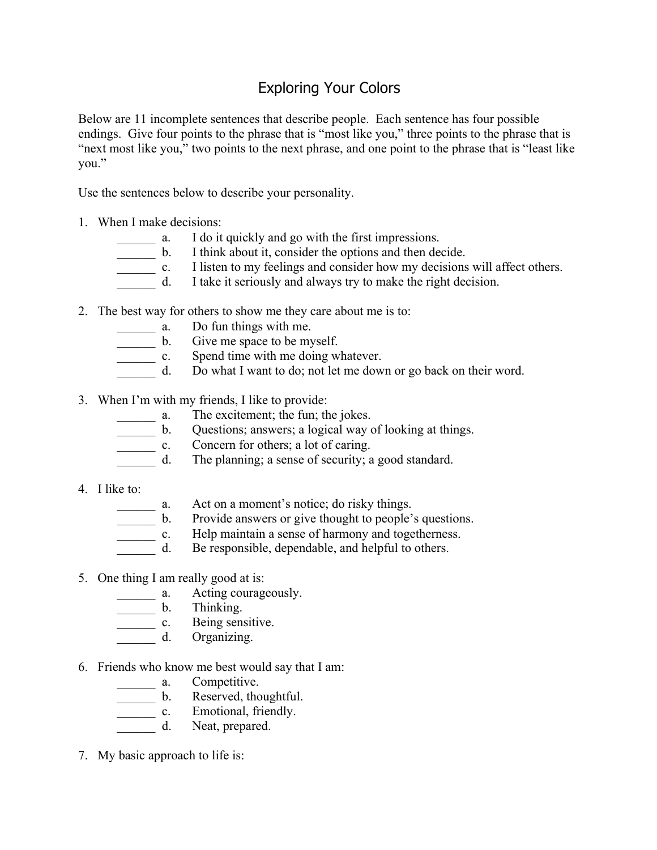#### Exploring Your Colors

Below are 11 incomplete sentences that describe people. Each sentence has four possible endings. Give four points to the phrase that is "most like you," three points to the phrase that is "next most like you," two points to the next phrase, and one point to the phrase that is "least like you."

Use the sentences below to describe your personality.

- 1. When I make decisions:
	-
	- a. I do it quickly and go with the first impressions.<br>b. I think about it, consider the options and then de
	- b. I think about it, consider the options and then decide.<br>
	c. I listen to my feelings and consider how my decisions<br>
	d. I take it seriously and always try to make the right de-I listen to my feelings and consider how my decisions will affect others.
		- I take it seriously and always try to make the right decision.
- 2. The best way for others to show me they care about me is to:
	- \_\_\_\_\_\_ a. Do fun things with me.
	- \_\_\_\_\_\_ b. Give me space to be myself.
	- \_\_\_\_\_\_ c. Spend time with me doing whatever.
	- \_\_\_\_\_\_ d. Do what I want to do; not let me down or go back on their word.
- 3. When I'm with my friends, I like to provide:<br> $\frac{3.}{\sqrt{1-\frac{1}{n}}}$  a. The excitement; the fun; the
	-
	- a. The excitement; the fun; the jokes.<br>b. Questions; answers; a logical way of Questions; answers; a logical way of looking at things.
	- c. Concern for others; a lot of caring.<br>d. The planning; a sense of security; a
	- The planning; a sense of security; a good standard.
- 4. I like to:
	-
	- a. Act on a moment's notice; do risky things.<br>b. Provide answers or give thought to people' Provide answers or give thought to people's questions.
	- \_\_\_\_\_\_ c. Help maintain a sense of harmony and togetherness.
	- d. Be responsible, dependable, and helpful to others.
- 5. One thing I am really good at is:
	- **\_\_\_\_\_\_** a. Acting courageously.
	- \_\_\_\_\_\_ b. Thinking.
	- \_\_\_\_\_\_ c. Being sensitive.
	- \_\_\_\_\_\_ d. Organizing.
- 6. Friends who know me best would say that I am:
	-
	- a. Competitive.<br>
	b. Reserved, the
	- b. Reserved, thoughtful.<br> **c.** Emotional, friendly. Emotional, friendly.
	- \_\_\_\_\_\_ d. Neat, prepared.
- 7. My basic approach to life is: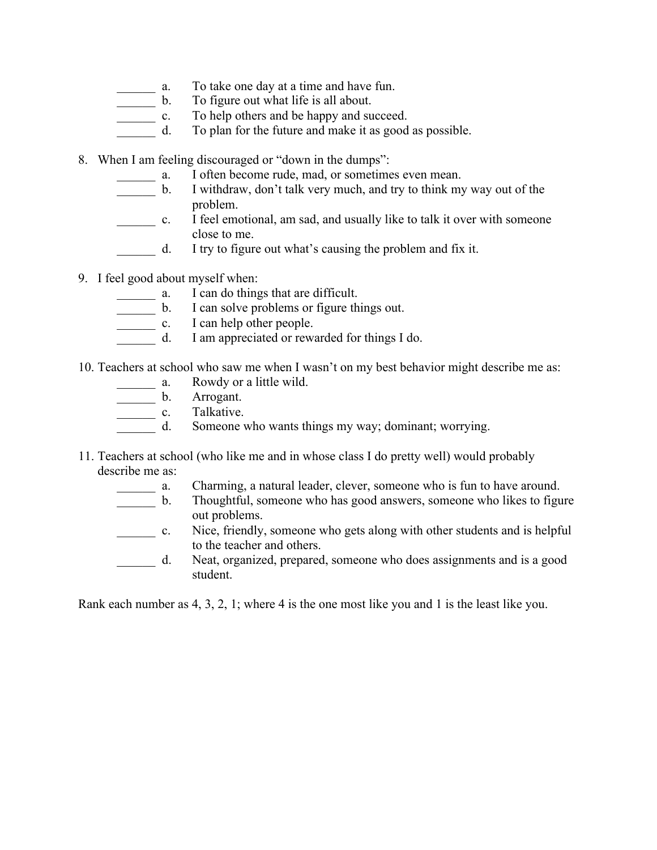- \_\_\_\_\_\_ a. To take one day at a time and have fun.
- \_\_\_\_\_\_ b. To figure out what life is all about.
- c. To help others and be happy and succeed.
- d. To plan for the future and make it as good as possible.
- 8. When I am feeling discouraged or "down in the dumps":
	- a. I often become rude, mad, or sometimes even mean.
	- \_\_\_\_\_\_ b. I withdraw, don't talk very much, and try to think my way out of the problem.
	- \_\_\_\_\_\_ c. I feel emotional, am sad, and usually like to talk it over with someone close to me.
	- d. I try to figure out what's causing the problem and fix it.
- 9. I feel good about myself when:
	-
	- a. I can do things that are difficult.<br>
	b. I can solve problems or figure the L can help other people. I can solve problems or figure things out.
	- I can help other people.
	- d. I am appreciated or rewarded for things I do.
- 10. Teachers at school who saw me when I wasn't on my best behavior might describe me as:
	- \_\_\_\_\_\_ a. Rowdy or a little wild.
	- b. Arrogant.
	- \_\_\_\_\_\_\_\_\_\_\_ c. Talkative.
	- d. Someone who wants things my way; dominant; worrying.
- 11. Teachers at school (who like me and in whose class I do pretty well) would probably describe me as:
	- \_\_\_\_\_\_ a. Charming, a natural leader, clever, someone who is fun to have around.
	- \_\_\_\_\_\_ b. Thoughtful, someone who has good answers, someone who likes to figure out problems.
	- \_\_\_\_\_\_ c. Nice, friendly, someone who gets along with other students and is helpful to the teacher and others.
	- \_\_\_\_\_\_ d. Neat, organized, prepared, someone who does assignments and is a good student.

Rank each number as 4, 3, 2, 1; where 4 is the one most like you and 1 is the least like you.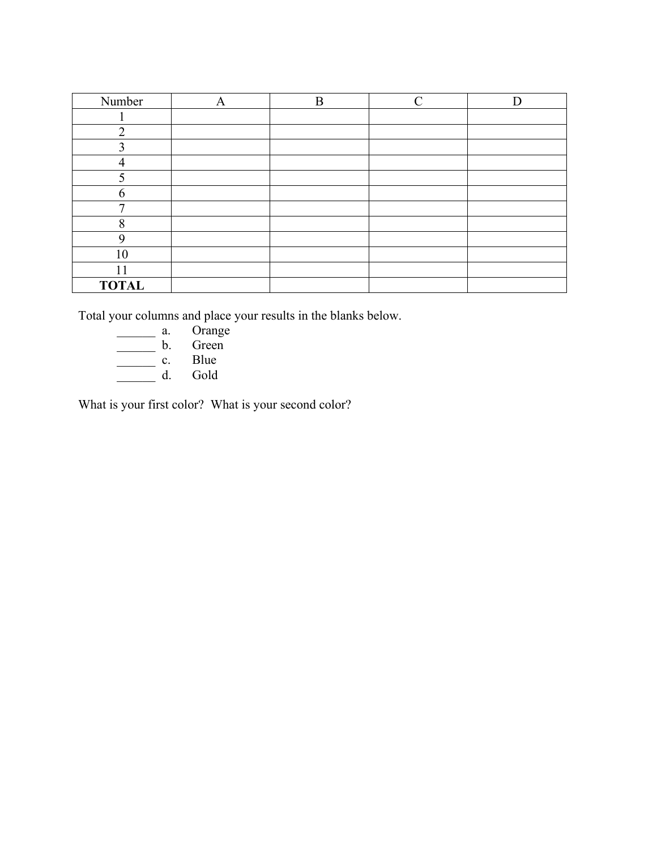| Number       | A | B | $\curvearrowright$ |  |
|--------------|---|---|--------------------|--|
|              |   |   |                    |  |
| $\bigcirc$   |   |   |                    |  |
| $\mathbf 3$  |   |   |                    |  |
|              |   |   |                    |  |
| 5            |   |   |                    |  |
| 6            |   |   |                    |  |
| $\mathbf{r}$ |   |   |                    |  |
| 8            |   |   |                    |  |
| 9            |   |   |                    |  |
| 10           |   |   |                    |  |
| 11           |   |   |                    |  |
| <b>TOTAL</b> |   |   |                    |  |

Total your columns and place your results in the blanks below.

- \_\_\_\_\_\_ a. Orange
- \_\_\_\_\_\_ b. Green
- $\qquad c.$  Blue
- \_\_\_\_\_\_ d. Gold

What is your first color? What is your second color?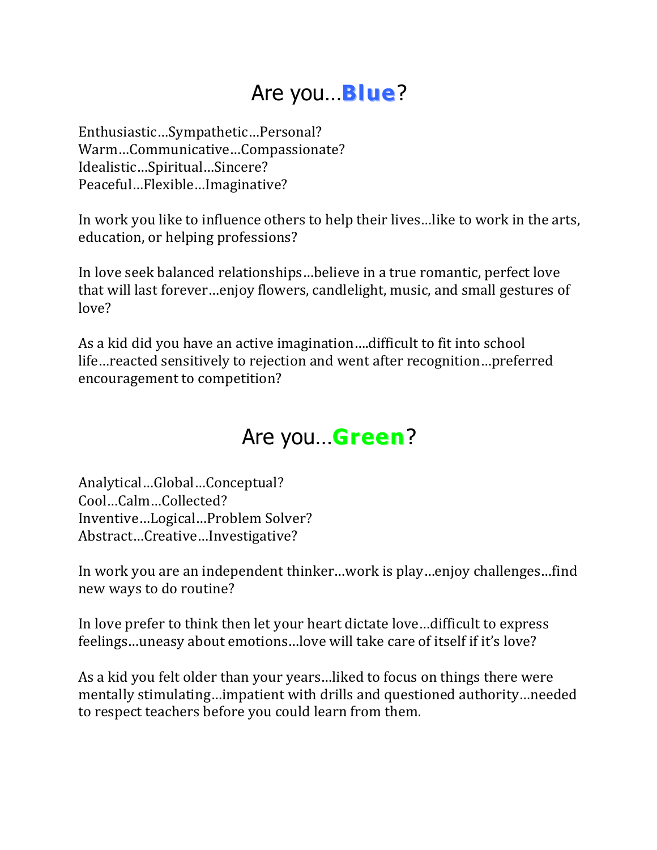# Are you…**Blue**?

Enthusiastic…Sympathetic…Personal? Warm…Communicative…Compassionate? Idealistic…Spiritual…Sincere? Peaceful…Flexible…Imaginative?

In work you like to influence others to help their lives...like to work in the arts, education, or helping professions?

In love seek balanced relationships...believe in a true romantic, perfect love that will last forever...enjoy flowers, candlelight, music, and small gestures of love?

As a kid did you have an active imagination....difficult to fit into school life...reacted sensitively to rejection and went after recognition...preferred encouragement to competition?

## Are you…**Green**?

Analytical…Global…Conceptual? Cool…Calm…Collected? Inventive...Logical...Problem Solver? Abstract…Creative…Investigative?

In work you are an independent thinker…work is play…enjoy challenges…find new ways to do routine?

In love prefer to think then let your heart dictate love...difficult to express feelings...uneasy about emotions...love will take care of itself if it's love?

As a kid you felt older than your years...liked to focus on things there were mentally stimulating…impatient with drills and questioned authority…needed to respect teachers before you could learn from them.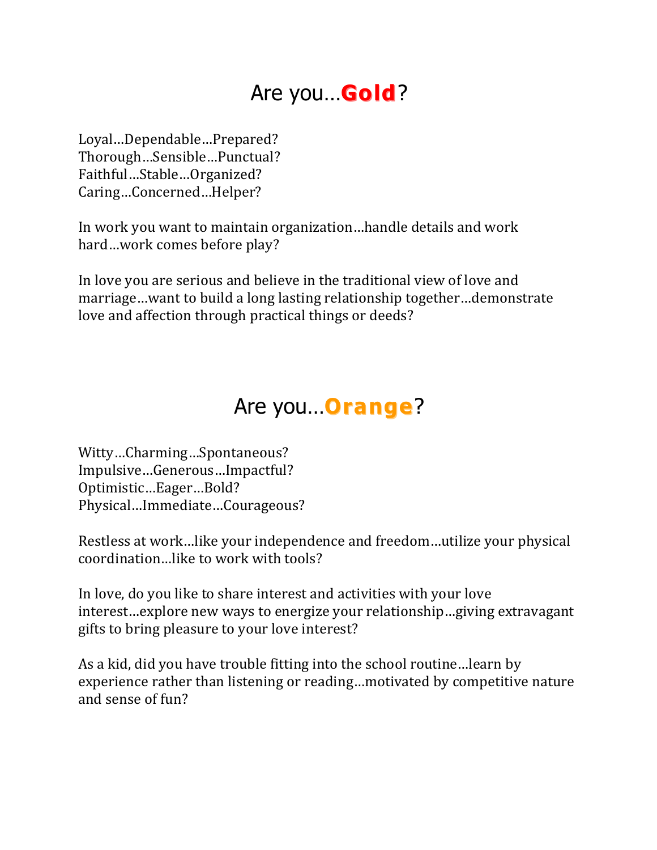# Are you…**Gold**?

Loyal…Dependable…Prepared? Thorough…Sensible…Punctual? Faithful…Stable…Organized? Caring…Concerned…Helper?

In work you want to maintain organization...handle details and work hard…work comes before play?

In love you are serious and believe in the traditional view of love and marriage...want to build a long lasting relationship together...demonstrate love and affection through practical things or deeds?

#### Are you…**Orange**?

Witty…Charming…Spontaneous? Impulsive…Generous…Impactful? Optimistic…Eager…Bold? Physical…Immediate…Courageous?

Restless at work...like your independence and freedom...utilize your physical coordination...like to work with tools?

In love, do you like to share interest and activities with your love interest...explore new ways to energize your relationship...giving extravagant gifts to bring pleasure to your love interest?

As a kid, did you have trouble fitting into the school routine... learn by experience rather than listening or reading...motivated by competitive nature and sense of fun?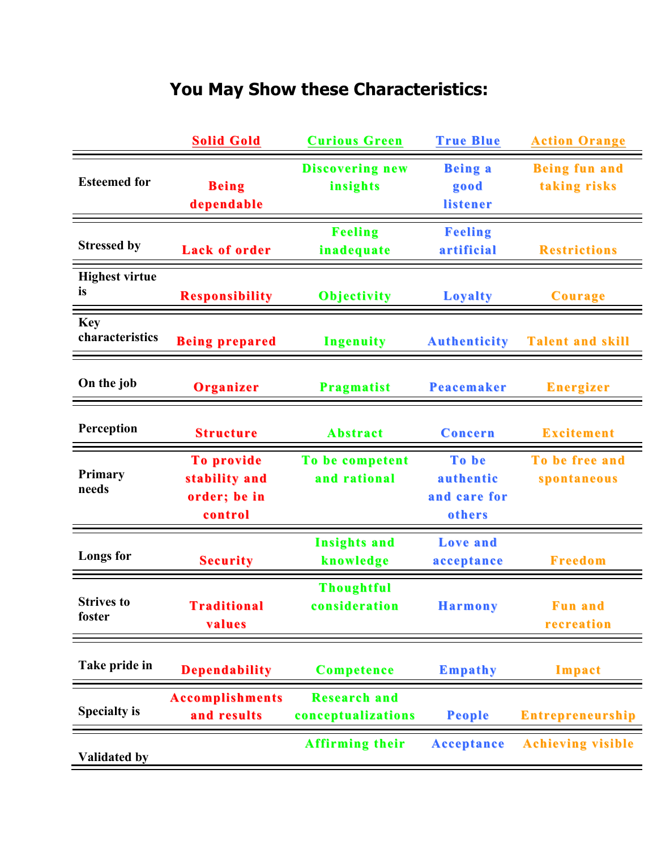## **You May Show these Characteristics:**

|                               | <b>Solid Gold</b>                                      | <b>Curious Green</b>                      | <b>True Blue</b>                             | <b>Action Orange</b>                 |
|-------------------------------|--------------------------------------------------------|-------------------------------------------|----------------------------------------------|--------------------------------------|
| <b>Esteemed for</b>           | <b>Being</b><br>dependable                             | <b>Discovering new</b><br>insights        | <b>Being a</b><br>good<br>listener           | <b>Being fun and</b><br>taking risks |
| <b>Stressed by</b>            | <b>Lack of order</b>                                   | <b>Feeling</b><br>inadequate              | <b>Feeling</b><br>artificial                 | <b>Restrictions</b>                  |
| <b>Highest virtue</b><br>is   | <b>Responsibility</b>                                  | <b>Objectivity</b>                        | <b>Loyalty</b>                               | Courage                              |
| <b>Key</b><br>characteristics | <b>Being prepared</b>                                  | <b>Ingenuity</b>                          | <b>Authenticity</b>                          | <b>Talent and skill</b>              |
| On the job                    | Organizer                                              | <b>Pragmatist</b>                         | <b>Peacemaker</b>                            | <b>Energizer</b>                     |
| Perception                    | <b>Structure</b>                                       | <b>Abstract</b>                           | Concern                                      | <b>Excitement</b>                    |
| <b>Primary</b><br>needs       | To provide<br>stability and<br>order; be in<br>control | To be competent<br>and rational           | To be<br>authentic<br>and care for<br>others | To be free and<br>spontaneous        |
| <b>Longs</b> for              | <b>Security</b>                                        | <b>Insights and</b><br>knowledge          | <b>Love</b> and<br>acceptance                | <b>Freedom</b>                       |
| <b>Strives to</b><br>foster   | <b>Traditional</b><br>values                           | <b>Thoughtful</b><br>consideration        | <b>Harmony</b>                               | <b>Fun and</b><br>recreation         |
|                               |                                                        |                                           |                                              |                                      |
| Take pride in                 | <b>Dependability</b>                                   | <b>Competence</b>                         | <b>Empathy</b>                               | Impact                               |
| <b>Specialty is</b>           | <b>Accomplishments</b><br>and results                  | <b>Research and</b><br>conceptualizations | <b>People</b>                                | <b>Entrepreneurship</b>              |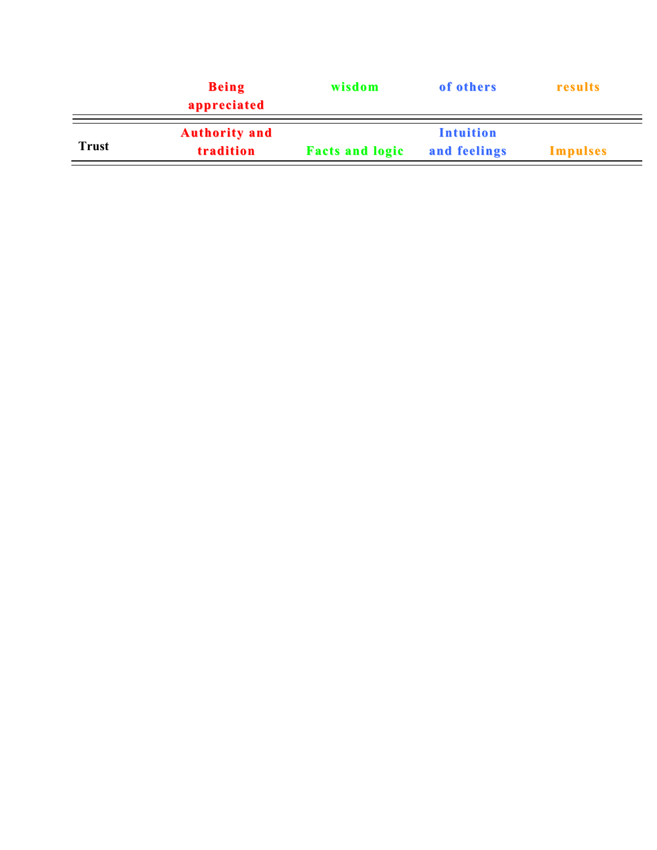|              | <b>Being</b><br>appreciated       | wisdom                 | of others                        | results         |
|--------------|-----------------------------------|------------------------|----------------------------------|-----------------|
| <b>Trust</b> | <b>Authority and</b><br>tradition | <b>Facts and logic</b> | <b>Intuition</b><br>and feelings | <b>Impulses</b> |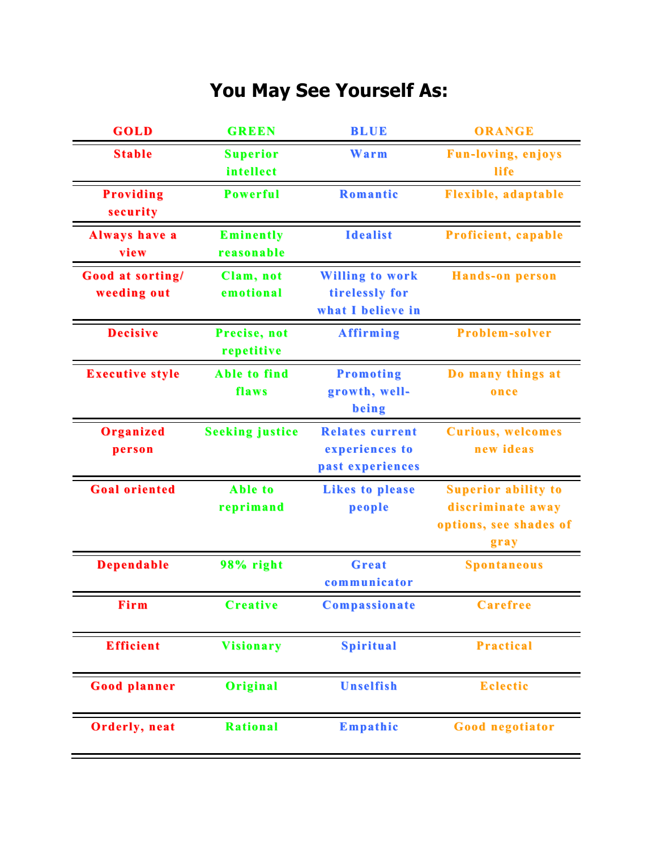## **You May See Yourself As:**

| GOLD                            | <b>GREEN</b>                   | <b>BLUE</b>                                                   | ORANGE                                                                            |
|---------------------------------|--------------------------------|---------------------------------------------------------------|-----------------------------------------------------------------------------------|
| <b>Stable</b>                   | <b>Superior</b><br>intellect   | Warm                                                          | <b>Fun-loving, enjoys</b><br>life                                                 |
| <b>Providing</b><br>security    | <b>Powerful</b>                | Romantic                                                      | <b>Flexible, adaptable</b>                                                        |
| <b>Always have a</b><br>view    | <b>Eminently</b><br>reasonable | <b>Idealist</b>                                               | <b>Proficient, capable</b>                                                        |
| Good at sorting/<br>weeding out | Clam, not<br>emotional         | <b>Willing to work</b><br>tirelessly for<br>what I believe in | <b>Hands-on person</b>                                                            |
| <b>Decisive</b>                 | Precise, not<br>repetitive     | <b>Affirming</b>                                              | <b>Problem-solver</b>                                                             |
| <b>Executive style</b>          | Able to find<br>flaws          | <b>Promoting</b><br>growth, well-<br>being                    | Do many things at<br>once                                                         |
| Organized<br>person             | <b>Seeking justice</b>         | <b>Relates current</b><br>experiences to<br>past experiences  | <b>Curious, welcomes</b><br>new ideas                                             |
| <b>Goal oriented</b>            | Able to<br>reprimand           | <b>Likes to please</b><br>people                              | <b>Superior ability to</b><br>discriminate away<br>options, see shades of<br>grav |
| <b>Dependable</b>               | 98% right                      | <b>Great</b><br>communicator                                  | <b>Spontaneous</b>                                                                |
| Firm                            | <b>Creative</b>                | Compassionate                                                 | <b>Carefree</b>                                                                   |
| <b>Efficient</b>                | <b>Visionary</b>               | <b>Spiritual</b>                                              | <b>Practical</b>                                                                  |
| <b>Good planner</b>             | Original                       | <b>Unselfish</b>                                              | <b>Eclectic</b>                                                                   |
| <b>Orderly, neat</b>            | <b>Rational</b>                | Empathic                                                      | <b>Good negotiator</b>                                                            |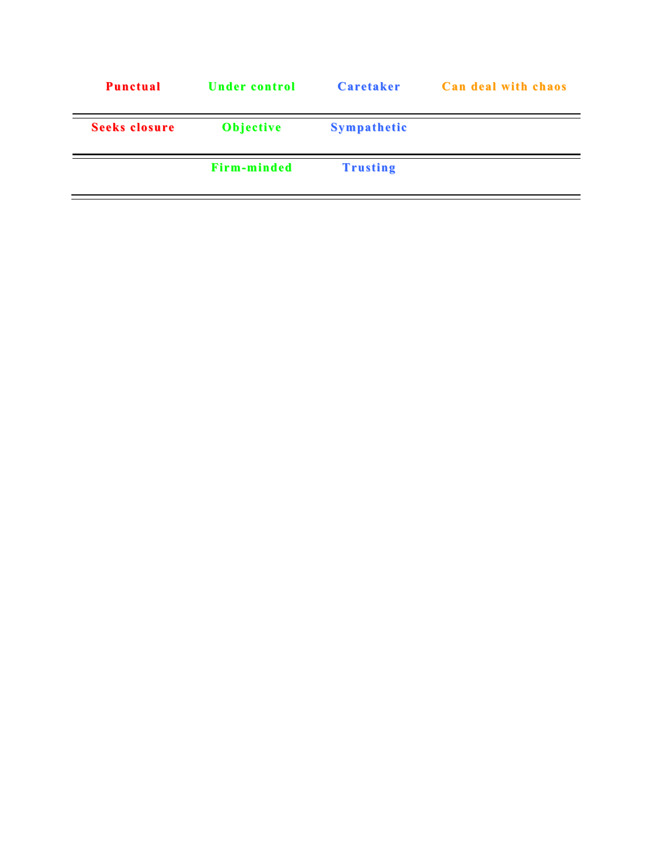| <b>Punctual</b>      | <b>Under control</b> | Caretaker          | <b>Can deal with chaos</b> |
|----------------------|----------------------|--------------------|----------------------------|
| <b>Seeks closure</b> | <b>Objective</b>     | <b>Sympathetic</b> |                            |
|                      | <b>Firm-minded</b>   | <b>Trusting</b>    |                            |
|                      |                      |                    |                            |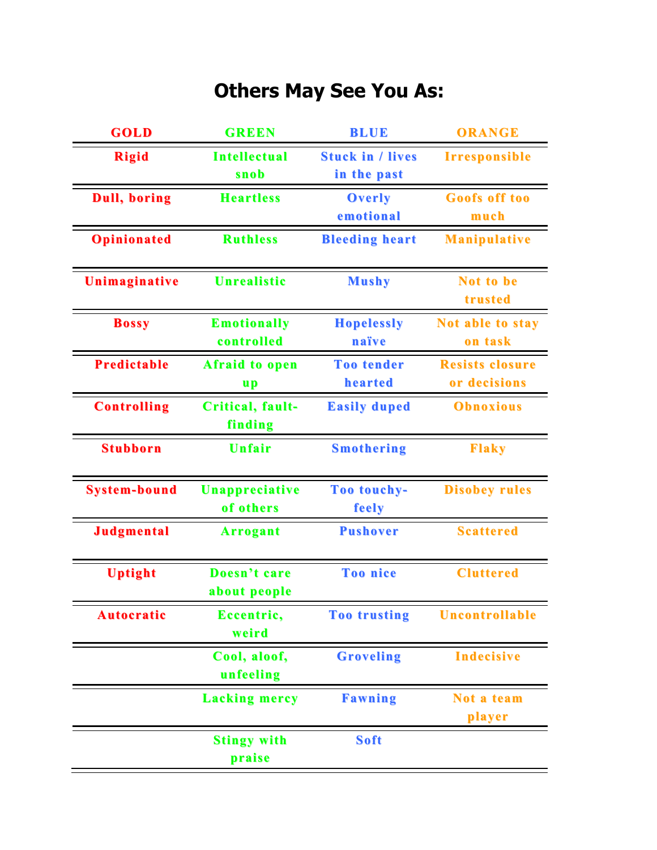## **Others May See You As:**

| <b>GOLD</b>          | <b>GREEN</b>          | <b>BLUE</b>             | <b>ORANGE</b>          |
|----------------------|-----------------------|-------------------------|------------------------|
| <b>Rigid</b>         | <b>Intellectual</b>   | <b>Stuck in / lives</b> | <b>Irresponsible</b>   |
|                      | snob                  | in the past             |                        |
| <b>Dull</b> , boring | <b>Heartless</b>      | <b>Overly</b>           | <b>Goofs off too</b>   |
|                      |                       | emotional               | much                   |
| <b>Opinionated</b>   | <b>Ruthless</b>       | <b>Bleeding heart</b>   | <b>Manipulative</b>    |
|                      |                       |                         |                        |
| Unimaginative        | <b>Unrealistic</b>    | <b>Mushy</b>            | Not to be              |
|                      |                       |                         | trusted                |
| <b>Bossy</b>         | <b>Emotionally</b>    | <b>Hopelessly</b>       | Not able to stay       |
|                      | controlled            | naïve                   | on task                |
| <b>Predictable</b>   | <b>Afraid to open</b> | <b>Too tender</b>       | <b>Resists closure</b> |
|                      | <u>up</u>             | hearted                 | or decisions           |
| <b>Controlling</b>   | Critical, fault-      | <b>Easily duped</b>     | <b>Obnoxious</b>       |
|                      | finding               |                         |                        |
| <b>Stubborn</b>      | <b>Unfair</b>         | <b>Smothering</b>       | <b>Flaky</b>           |
|                      |                       |                         |                        |
| <b>System-bound</b>  | Unappreciative        | Too touchy-             | <b>Disobey rules</b>   |
|                      | of others             | feely                   |                        |
| <b>Judgmental</b>    | <b>Arrogant</b>       | <b>Pushover</b>         | <b>Scattered</b>       |
|                      |                       |                         |                        |
| <b>Uptight</b>       | Doesn't care          | <b>Too nice</b>         | <b>Cluttered</b>       |
|                      | about people          |                         |                        |
| <b>Autocratic</b>    | Eccentric,            | <b>Too trusting</b>     | <b>Uncontrollable</b>  |
|                      | weird                 |                         |                        |
|                      | Cool, aloof,          | <b>Groveling</b>        | <b>Indecisive</b>      |
|                      | unfeeling             |                         |                        |
|                      | <b>Lacking mercy</b>  | <b>Fawning</b>          | Not a team             |
|                      |                       |                         | player                 |
|                      | <b>Stingy with</b>    | <b>Soft</b>             |                        |
|                      | praise                |                         |                        |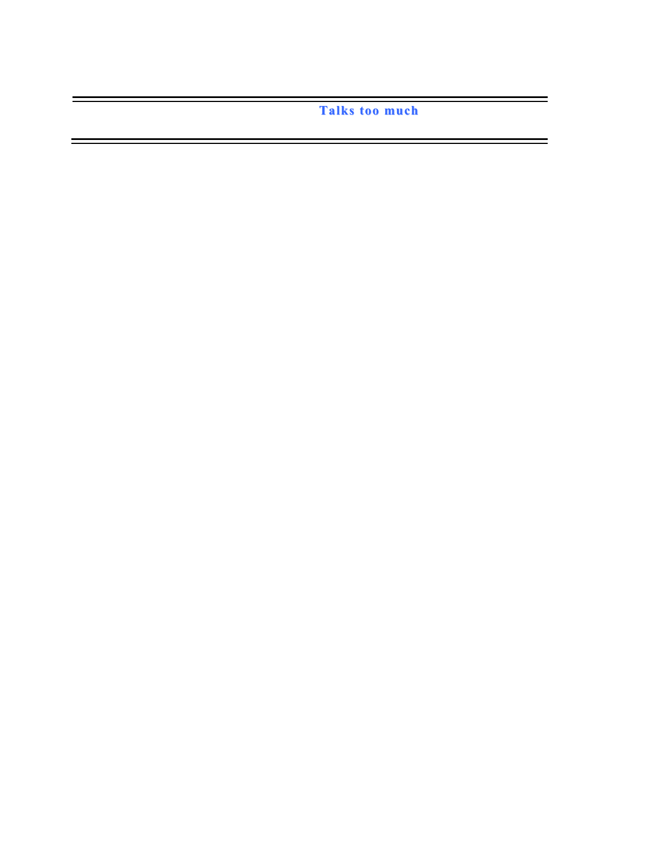**Talks too much**

<u> Andreas Andreas Andreas Andreas Andreas Andreas Andreas Andreas Andreas Andreas Andreas Andreas Andreas Andr</u>

<u> Andrew State (1989)</u><br>Andrew State (1989)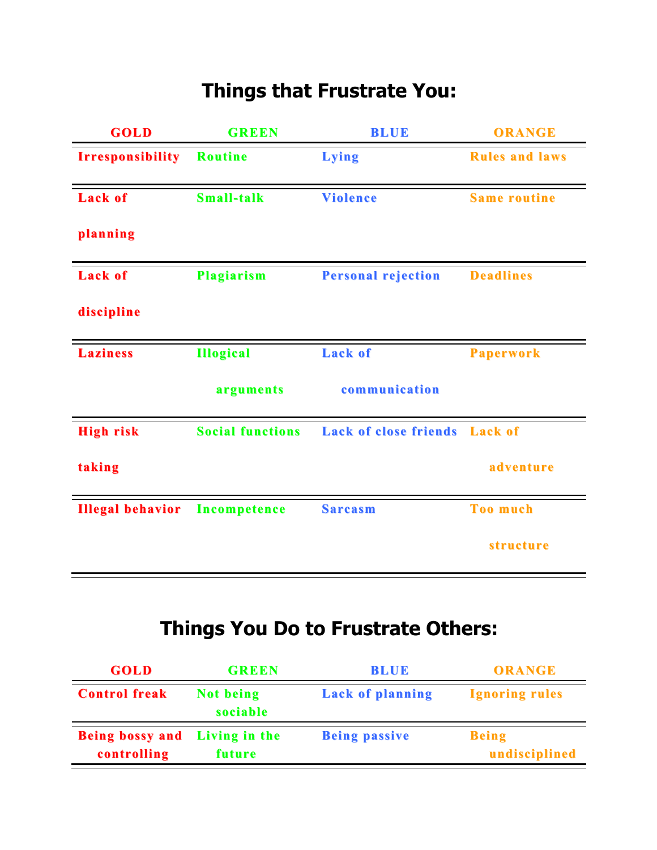## **Things that Frustrate You:**

| <b>GOLD</b>             | <b>GREEN</b>            | <b>BLUE</b>                  | <b>ORANGE</b>         |
|-------------------------|-------------------------|------------------------------|-----------------------|
| <b>Irresponsibility</b> | <b>Routine</b>          | Lying                        | <b>Rules and laws</b> |
| <b>Lack of</b>          | <b>Small-talk</b>       | <b>Violence</b>              | <b>Same routine</b>   |
| planning                |                         |                              |                       |
| <b>Lack of</b>          | <b>Plagiarism</b>       | <b>Personal rejection</b>    | <b>Deadlines</b>      |
| discipline              |                         |                              |                       |
| <b>Laziness</b>         | <b>Illogical</b>        | <b>Lack of</b>               | <b>Paperwork</b>      |
|                         | arguments               | communication                |                       |
| <b>High risk</b>        | <b>Social functions</b> | <b>Lack of close friends</b> | <b>Lack of</b>        |
| taking                  |                         |                              | adventure             |
| <b>Illegal behavior</b> | <b>Incompetence</b>     | <b>Sarcasm</b>               | <b>Too much</b>       |
|                         |                         |                              | <i>structure</i>      |

## **Things You Do to Frustrate Others:**

| <b>GOLD</b>                                  | <b>GREEN</b>          | <b>BLUE</b>             | <b>ORANGE</b>                 |
|----------------------------------------------|-----------------------|-------------------------|-------------------------------|
| <b>Control freak</b>                         | Not being<br>sociable | <b>Lack of planning</b> | <b>Ignoring rules</b>         |
| Being bossy and Living in the<br>controlling | future                | <b>Being passive</b>    | <b>Being</b><br>undisciplined |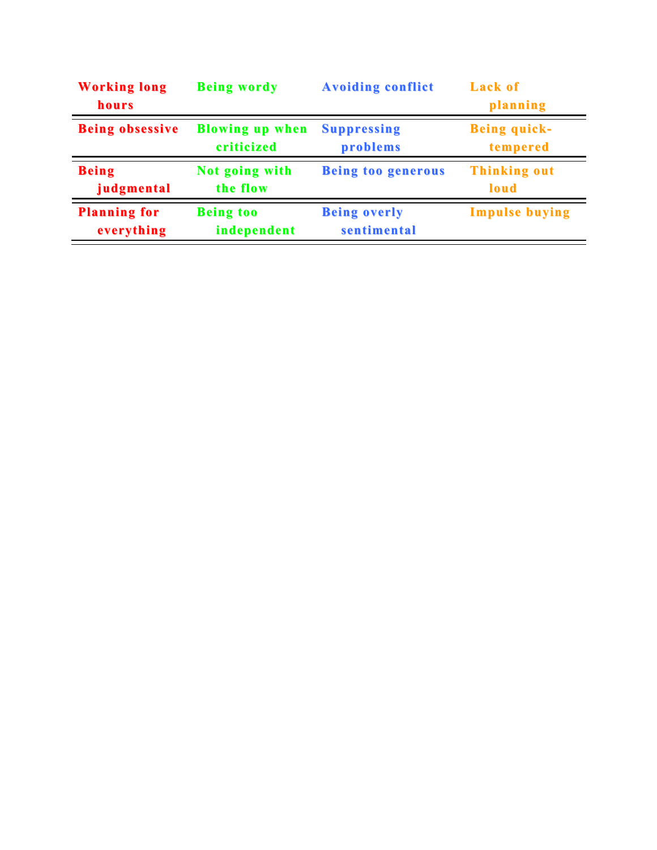| <b>Working long</b><br>hours | <b>Being wordy</b>     | <b>Avoiding conflict</b>  | <b>Lack of</b><br>planning |
|------------------------------|------------------------|---------------------------|----------------------------|
| <b>Being obsessive</b>       | <b>Blowing up when</b> | <b>Suppressing</b>        | <b>Being quick-</b>        |
|                              | criticized             | problems                  | tempered                   |
| <b>Being</b>                 | Not going with         | <b>Being too generous</b> | <b>Thinking out</b>        |
| judgmental                   | the flow               |                           | loud                       |
| <b>Planning for</b>          | <b>Being too</b>       | <b>Being overly</b>       | <b>Impulse buying</b>      |
| everything                   | independent            | sentimental               |                            |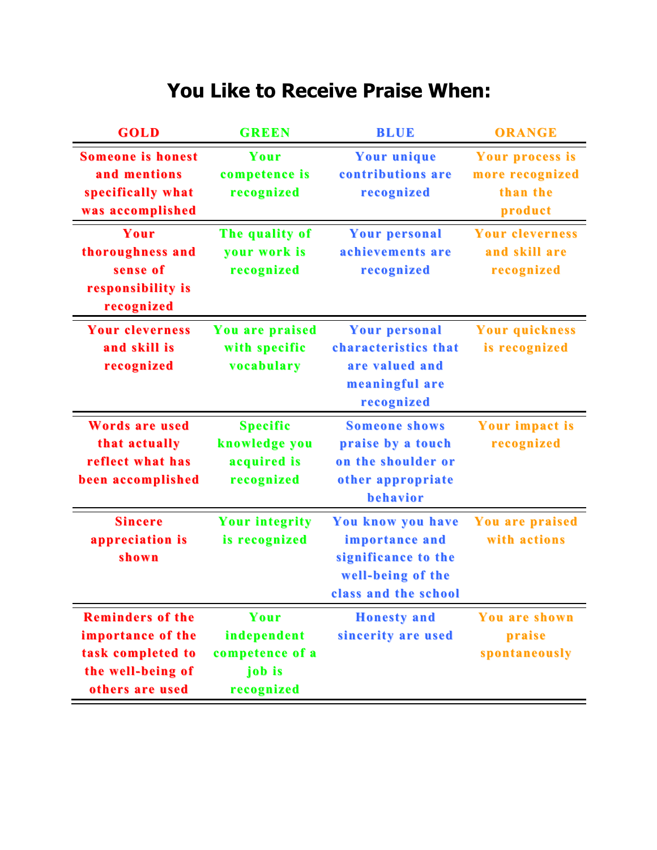#### **You Like to Receive Praise When:**

| <b>GOLD</b>                                                                                               | <b>GREEN</b>                                                   | <b>BLUE</b>                                                                                             | <b>ORANGE</b>                                             |
|-----------------------------------------------------------------------------------------------------------|----------------------------------------------------------------|---------------------------------------------------------------------------------------------------------|-----------------------------------------------------------|
| <b>Someone is honest</b><br>and mentions<br>specifically what<br>was accomplished                         | Your<br>competence is<br>recognized                            | <b>Your unique</b><br>contributions are<br>recognized                                                   | Your process is<br>more recognized<br>than the<br>product |
| Your<br>thoroughness and<br>sense of<br>responsibility is<br>recognized                                   | The quality of<br>your work is<br>recognized                   | <b>Your personal</b><br>achievements are<br>recognized                                                  | <b>Your cleverness</b><br>and skill are<br>recognized     |
| <b>Your cleverness</b><br>and skill is<br>recognized                                                      | You are praised<br>with specific<br>vocabulary                 | <b>Your personal</b><br>characteristics that<br>are valued and<br>meaningful are<br>recognized          | <b>Your quickness</b><br>is recognized                    |
| <b>Words are used</b><br>that actually<br>reflect what has<br>been accomplished                           | <b>Specific</b><br>knowledge you<br>acquired is<br>recognized  | <b>Someone shows</b><br>praise by a touch<br>on the shoulder or<br>other appropriate<br>behavior        | <b>Your impact is</b><br>recognized                       |
| <b>Sincere</b><br>appreciation is<br>shown                                                                | <b>Your integrity</b><br>is recognized                         | You know you have<br>importance and<br>significance to the<br>well-being of the<br>class and the school | You are praised<br>with actions                           |
| <b>Reminders of the</b><br>importance of the<br>task completed to<br>the well-being of<br>others are used | Your<br>independent<br>competence of a<br>job is<br>recognized | <b>Honesty</b> and<br>sincerity are used                                                                | You are shown<br>praise<br>spontaneously                  |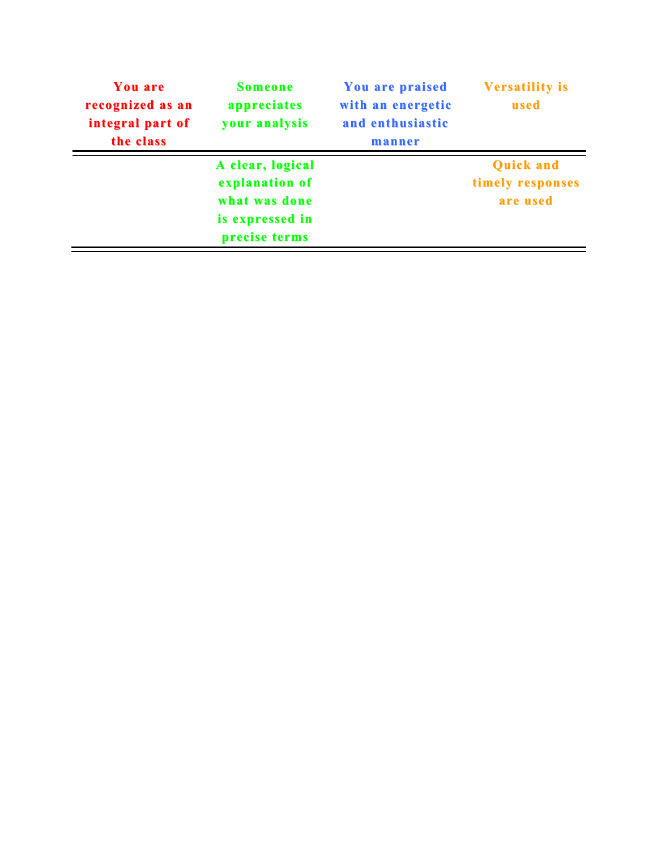| with an energetic<br>used<br>and enthusiastic<br>manner |
|---------------------------------------------------------|
| <b>Quick and</b><br>timely responses                    |
| are used                                                |
|                                                         |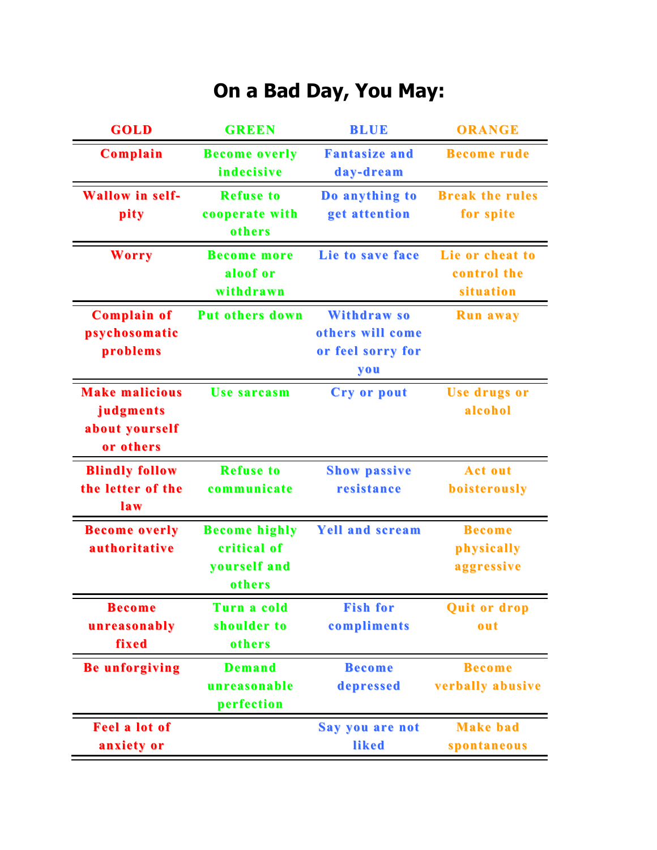## **On a Bad Day, You May:**

| GOLD                   | <b>GREEN</b>           | <b>BLUE</b>            | <b>ORANGE</b>          |
|------------------------|------------------------|------------------------|------------------------|
| Complain               | <b>Become overly</b>   | <b>Fantasize and</b>   | <b>Become rude</b>     |
|                        | indecisive             | day-dream              |                        |
| <b>Wallow</b> in self- | <b>Refuse to</b>       | Do anything to         | <b>Break the rules</b> |
| pity                   | cooperate with         | get attention          | for spite              |
|                        | others                 |                        |                        |
| <b>Worry</b>           | <b>Become more</b>     | Lie to save face       | Lie or cheat to        |
|                        | aloof or               |                        | control the            |
|                        | withdrawn              |                        | situation              |
| <b>Complain of</b>     | <b>Put others down</b> | <b>Withdrawso</b>      | <b>Run away</b>        |
| psychosomatic          |                        | others will come       |                        |
| problems               |                        | or feel sorry for      |                        |
|                        |                        | you                    |                        |
| <b>Make malicious</b>  | <b>Use sarcasm</b>     | <b>Cry or pout</b>     | <b>Use drugs or</b>    |
| judgments              |                        |                        | alcohol                |
| about yourself         |                        |                        |                        |
| or others              |                        |                        |                        |
| <b>Blindly follow</b>  | <b>Refuse to</b>       | <b>Show passive</b>    | <b>Act out</b>         |
| the letter of the      | communicate            | resistance             | boisterously           |
| law                    |                        |                        |                        |
| <b>Become overly</b>   | <b>Become highly</b>   | <b>Yell and scream</b> | <b>Become</b>          |
| authoritative          | critical of            |                        | physically             |
|                        | yourself and           |                        | aggressive             |
|                        | others                 |                        |                        |
| <b>Become</b>          | Turn a cold            | <b>Fish for</b>        | <b>Quit or drop</b>    |
| unreasonably           | shoulder to            | compliments            | out                    |
| fixed                  | others                 |                        |                        |
| <b>Be unforgiving</b>  | <b>Demand</b>          | <b>Become</b>          | <b>Become</b>          |
|                        | unreasonable           | depressed              | verbally abusive       |
|                        | perfection             |                        |                        |
| <b>Feel a lot of</b>   |                        | Say you are not        | <b>Make bad</b>        |
| anxiety or             |                        | liked                  | spontaneous            |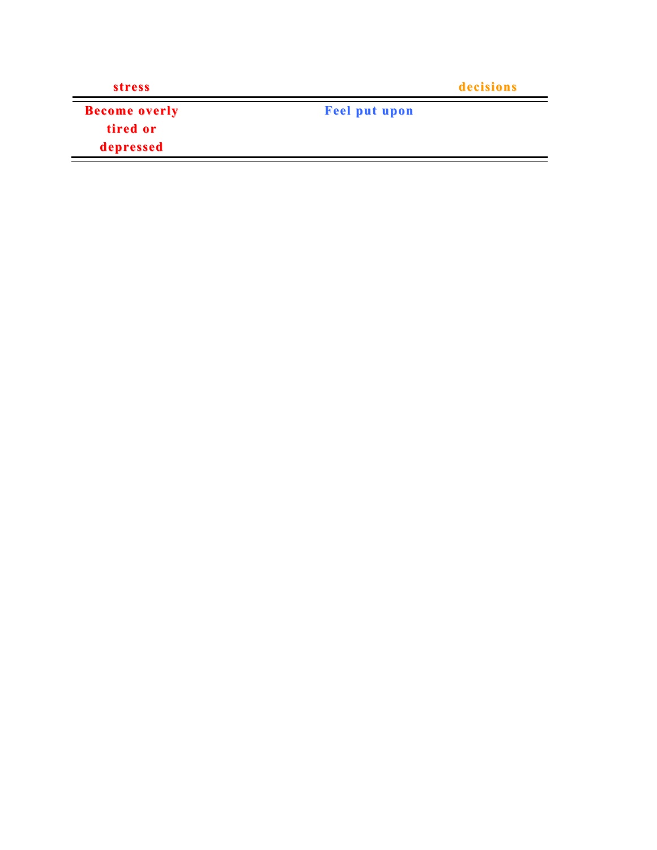| <b>stress</b>        | decisions            |  |
|----------------------|----------------------|--|
| <b>Become overly</b> | <b>Feel put upon</b> |  |
| tired or             |                      |  |
| depressed            |                      |  |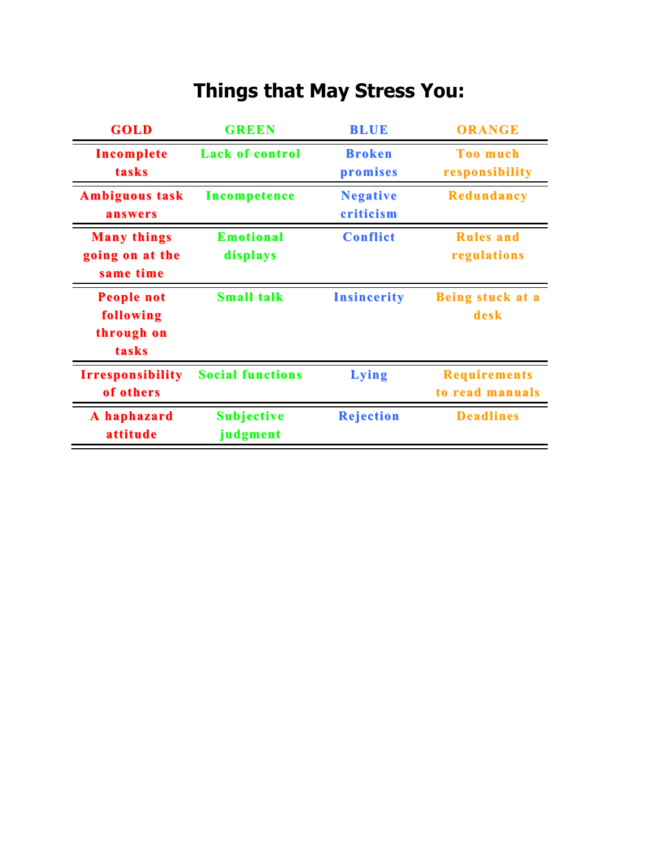# **Things that May Stress You:**

| GOLD                                                  | <b>GREEN</b>                  | <b>BLUE</b>                  | <b>ORANGE</b>                          |
|-------------------------------------------------------|-------------------------------|------------------------------|----------------------------------------|
| Incomplete<br>tasks                                   | <b>Lack of control</b>        | <b>Broken</b><br>promises    | <b>Too much</b><br>responsibility      |
| <b>Ambiguous task</b><br>answers                      | Incompetence                  | <b>Negative</b><br>criticism | <b>Redundancy</b>                      |
| <b>Many things</b><br>going on at the<br>same time    | <b>Emotional</b><br>displays  | <b>Conflict</b>              | <b>Rules</b> and<br>regulations        |
| <b>People not</b><br>following<br>through on<br>tasks | <b>Small talk</b>             | <b>Insincerity</b>           | <b>Being stuck at a</b><br>desk        |
| <b>Irresponsibility</b><br>of others                  | <b>Social functions</b>       | <b>Lying</b>                 | <b>Requirements</b><br>to read manuals |
| A haphazard<br>attitude                               | <b>Subjective</b><br>judgment | <b>Rejection</b>             | <b>Deadlines</b>                       |